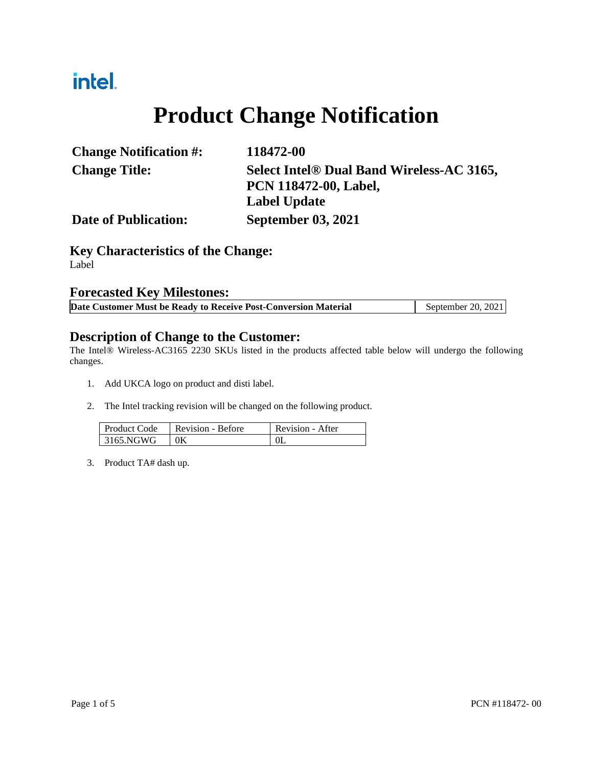# intel.

# **Product Change Notification**

| <b>Change Notification #:</b> | 118472-00                                 |
|-------------------------------|-------------------------------------------|
| <b>Change Title:</b>          | Select Intel® Dual Band Wireless-AC 3165, |
|                               | <b>PCN 118472-00, Label,</b>              |
|                               | Label Update                              |
| <b>Date of Publication:</b>   | <b>September 03, 2021</b>                 |

**Key Characteristics of the Change:** Label

### **Forecasted Key Milestones:**

| Date Customer Must be Ready to Receive Post-Conversion Material | September 20, 2021 |
|-----------------------------------------------------------------|--------------------|
|-----------------------------------------------------------------|--------------------|

### **Description of Change to the Customer:**

The Intel® Wireless-AC3165 2230 SKUs listed in the products affected table below will undergo the following changes.

- 1. Add UKCA logo on product and disti label.
- 2. The Intel tracking revision will be changed on the following product.

| <b>Product Code</b> | Revision - Before | Revision - After |
|---------------------|-------------------|------------------|
| 3165.NGWG           | 0K                |                  |

3. Product TA# dash up.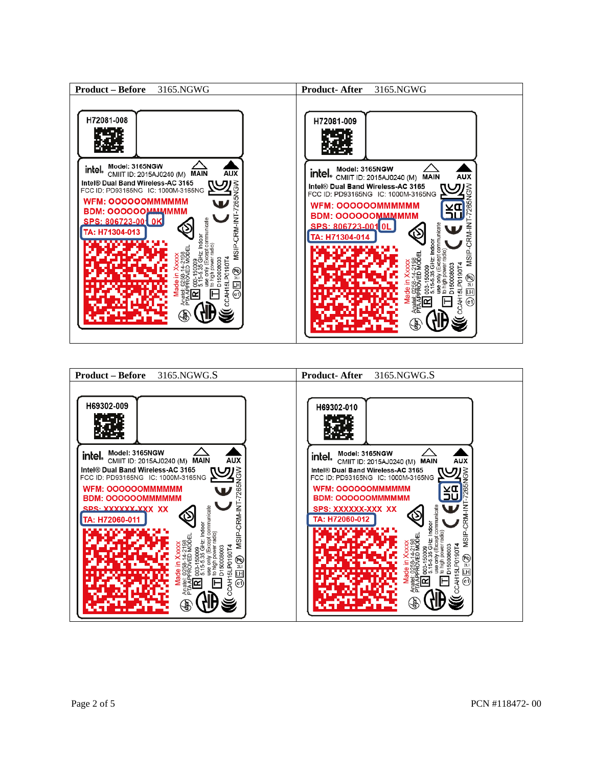

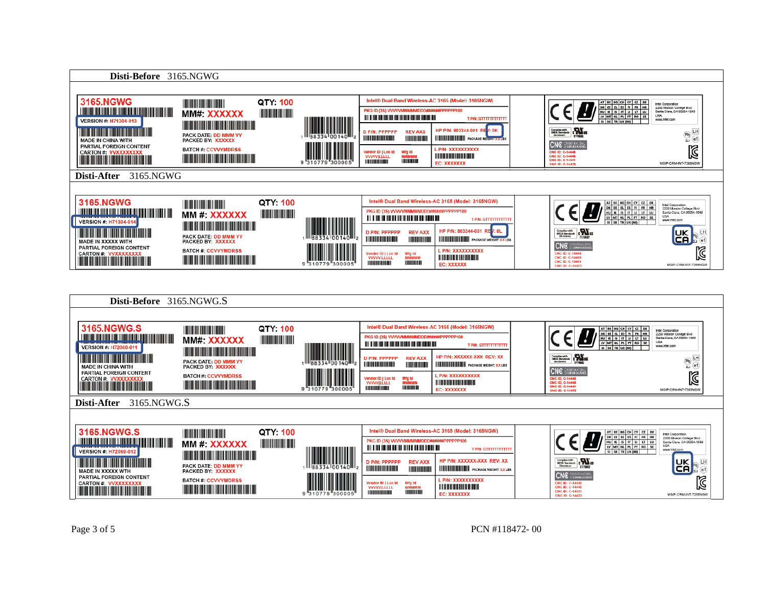

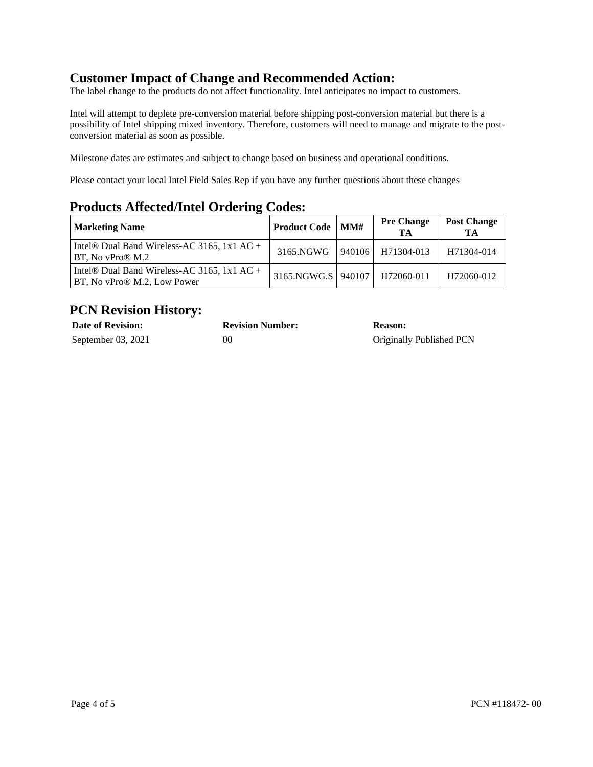## **Customer Impact of Change and Recommended Action:**

The label change to the products do not affect functionality. Intel anticipates no impact to customers.

Intel will attempt to deplete pre-conversion material before shipping post-conversion material but there is a possibility of Intel shipping mixed inventory. Therefore, customers will need to manage and migrate to the postconversion material as soon as possible.

Milestone dates are estimates and subject to change based on business and operational conditions.

Please contact your local Intel Field Sales Rep if you have any further questions about these changes

## **Products Affected/Intel Ordering Codes:**

| Marketing Name                                                                         | <b>Product Code</b>   MM# |        | <b>Pre Change</b><br>TА | <b>Post Change</b><br>TА |
|----------------------------------------------------------------------------------------|---------------------------|--------|-------------------------|--------------------------|
| Intel® Dual Band Wireless-AC 3165, 1x1 AC +<br>BT, No vPro® M.2                        | 3165.NGWG                 | 940106 | H71304-013              | H71304-014               |
| Intel <sup>®</sup> Dual Band Wireless-AC 3165, 1x1 AC +<br>BT, No vPro® M.2, Low Power | 3165.NGWG.S 940107        |        | H72060-011              | H72060-012               |

## **PCN Revision History:**

| <b>Date of Revision:</b> | <b>Revision Number:</b> | <b>Reason:</b>           |
|--------------------------|-------------------------|--------------------------|
| September 03, 2021       | 00                      | Originally Published PCN |